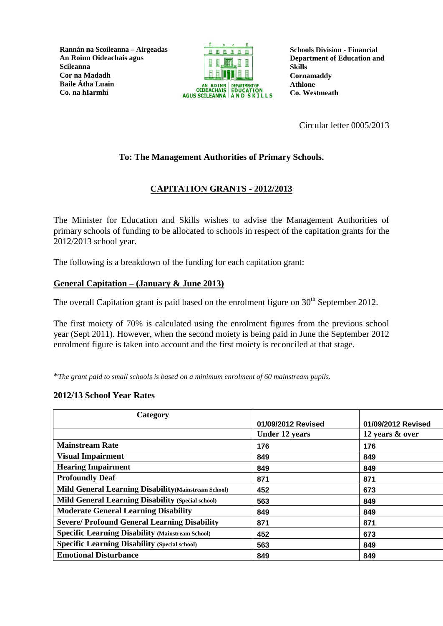**Rannán na Scoileanna – Airgeadas An Roinn Oideachais agus Scileanna Cor na Madadh Baile Átha Luain Co. na hIarmhí**



**Schools Division - Financial Department of Education and Skills Cornamaddy Athlone Co. Westmeath**

Circular letter 0005/2013

# **To: The Management Authorities of Primary Schools.**

# **CAPITATION GRANTS - 2012/2013**

The Minister for Education and Skills wishes to advise the Management Authorities of primary schools of funding to be allocated to schools in respect of the capitation grants for the 2012/2013 school year.

The following is a breakdown of the funding for each capitation grant:

### **General Capitation – (January & June 2013)**

The overall Capitation grant is paid based on the enrolment figure on  $30<sup>th</sup>$  September 2012.

The first moiety of 70% is calculated using the enrolment figures from the previous school year (Sept 2011). However, when the second moiety is being paid in June the September 2012 enrolment figure is taken into account and the first moiety is reconciled at that stage.

\**The grant paid to small schools is based on a minimum enrolment of 60 mainstream pupils.*

#### **2012/13 School Year Rates**

| Category                                                    |                       |                    |
|-------------------------------------------------------------|-----------------------|--------------------|
|                                                             | 01/09/2012 Revised    | 01/09/2012 Revised |
|                                                             | <b>Under 12 years</b> | 12 years & over    |
| <b>Mainstream Rate</b>                                      | 176                   | 176                |
| <b>Visual Impairment</b>                                    | 849                   | 849                |
| <b>Hearing Impairment</b>                                   | 849                   | 849                |
| <b>Profoundly Deaf</b>                                      | 871                   | 871                |
| <b>Mild General Learning Disability (Mainstream School)</b> | 452                   | 673                |
| <b>Mild General Learning Disability (Special school)</b>    | 563                   | 849                |
| <b>Moderate General Learning Disability</b>                 | 849                   | 849                |
| <b>Severe/Profound General Learning Disability</b>          | 871                   | 871                |
| <b>Specific Learning Disability (Mainstream School)</b>     | 452                   | 673                |
| <b>Specific Learning Disability (Special school)</b>        | 563                   | 849                |
| <b>Emotional Disturbance</b>                                | 849                   | 849                |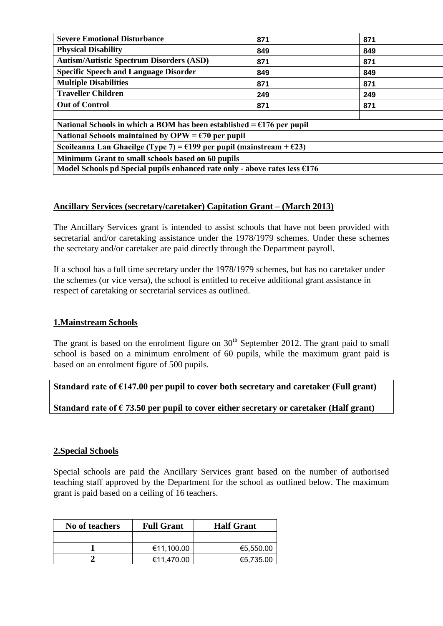| <b>Severe Emotional Disturbance</b>                                                      | 871 | 871 |  |  |
|------------------------------------------------------------------------------------------|-----|-----|--|--|
| <b>Physical Disability</b>                                                               | 849 | 849 |  |  |
| <b>Autism/Autistic Spectrum Disorders (ASD)</b>                                          | 871 | 871 |  |  |
| <b>Specific Speech and Language Disorder</b>                                             | 849 | 849 |  |  |
| <b>Multiple Disabilities</b>                                                             | 871 | 871 |  |  |
| <b>Traveller Children</b>                                                                | 249 | 249 |  |  |
| <b>Out of Control</b>                                                                    | 871 | 871 |  |  |
|                                                                                          |     |     |  |  |
| National Schools in which a BOM has been established $= 6176$ per pupil                  |     |     |  |  |
| National Schools maintained by OPW = $\epsilon$ 70 per pupil                             |     |     |  |  |
| Scoileanna Lan Ghaeilge (Type 7) = $\epsilon$ 199 per pupil (mainstream + $\epsilon$ 23) |     |     |  |  |
| Minimum Grant to small schools based on 60 pupils                                        |     |     |  |  |
| Model Schools pd Special pupils enhanced rate only - above rates less $6176$             |     |     |  |  |

### **Ancillary Services (secretary/caretaker) Capitation Grant – (March 2013)**

The Ancillary Services grant is intended to assist schools that have not been provided with secretarial and/or caretaking assistance under the 1978/1979 schemes. Under these schemes the secretary and/or caretaker are paid directly through the Department payroll.

If a school has a full time secretary under the 1978/1979 schemes, but has no caretaker under the schemes (or vice versa), the school is entitled to receive additional grant assistance in respect of caretaking or secretarial services as outlined.

#### **1.Mainstream Schools**

The grant is based on the enrolment figure on  $30<sup>th</sup>$  September 2012. The grant paid to small school is based on a minimum enrolment of 60 pupils, while the maximum grant paid is based on an enrolment figure of 500 pupils.

**Standard rate of €147.00 per pupil to cover both secretary and caretaker (Full grant)**

**Standard rate of € 73.50 per pupil to cover either secretary or caretaker (Half grant)**

### **2.Special Schools**

Special schools are paid the Ancillary Services grant based on the number of authorised teaching staff approved by the Department for the school as outlined below. The maximum grant is paid based on a ceiling of 16 teachers.

| No of teachers | <b>Full Grant</b> | <b>Half Grant</b> |
|----------------|-------------------|-------------------|
|                |                   |                   |
|                | €11,100.00        | €5,550.00         |
|                | €11,470.00        | €5,735.00         |